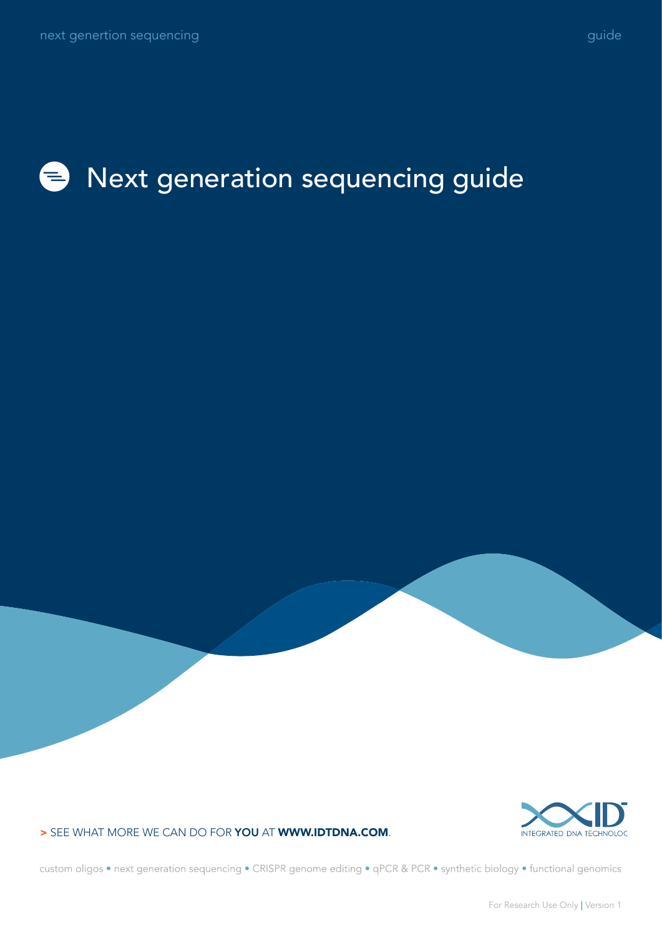#### Next generation sequencing guide $\bullet$



> SEE WHAT MORE WE CAN DO FOR YOU AT WWW.IDTDNA.COM.

custom oligos • next generation sequencing • CRISPR genome editing • qPCR & PCR • synthetic biology • functional genomics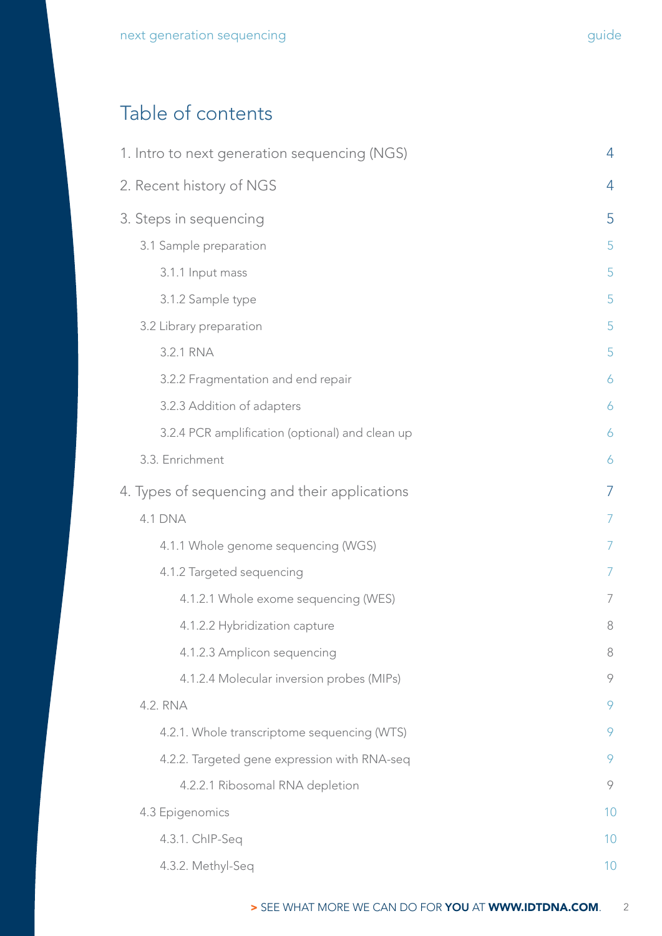## Table of contents

| 1. Intro to next generation sequencing (NGS)    | $\overline{4}$ |
|-------------------------------------------------|----------------|
| 2. Recent history of NGS                        | 4              |
| 3. Steps in sequencing                          | 5              |
| 3.1 Sample preparation                          | 5              |
| 3.1.1 Input mass                                | 5              |
| 3.1.2 Sample type                               | 5              |
| 3.2 Library preparation                         | 5              |
| 3.2.1 RNA                                       | 5              |
| 3.2.2 Fragmentation and end repair              | 6              |
| 3.2.3 Addition of adapters                      | 6              |
| 3.2.4 PCR amplification (optional) and clean up | 6              |
| 3.3. Enrichment                                 | 6              |
| 4. Types of sequencing and their applications   | $\overline{7}$ |
| <b>4.1 DNA</b>                                  | $\overline{7}$ |
| 4.1.1 Whole genome sequencing (WGS)             | $\overline{7}$ |
| 4.1.2 Targeted sequencing                       | $\overline{7}$ |
| 4.1.2.1 Whole exome sequencing (WES)            | 7              |
| 4.1.2.2 Hybridization capture                   | 8              |
| 4.1.2.3 Amplicon sequencing                     | $\,8\,$        |
| 4.1.2.4 Molecular inversion probes (MIPs)       | 9              |
| 4.2. RNA                                        | 9              |
| 4.2.1. Whole transcriptome sequencing (WTS)     | 9              |
| 4.2.2. Targeted gene expression with RNA-seq    | 9              |
| 4.2.2.1 Ribosomal RNA depletion                 | 9              |
| 4.3 Epigenomics                                 | 10             |
| 4.3.1. ChIP-Seq                                 | 10             |
| 4.3.2. Methyl-Seq                               | 10             |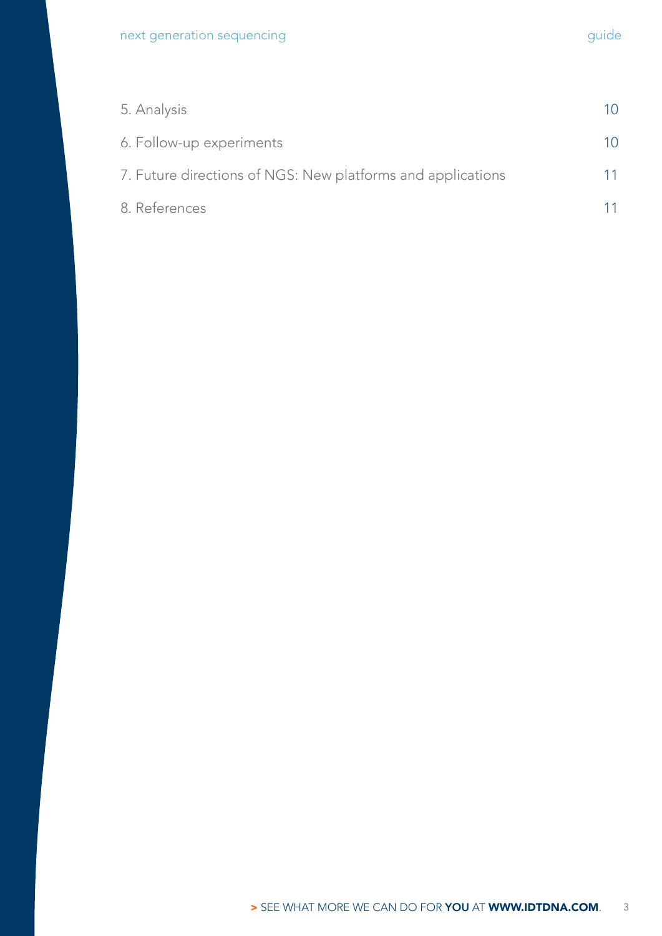| 5. Analysis                                                 | 10 |
|-------------------------------------------------------------|----|
| 6. Follow-up experiments                                    | 10 |
| 7. Future directions of NGS: New platforms and applications | 11 |
| 8. References                                               |    |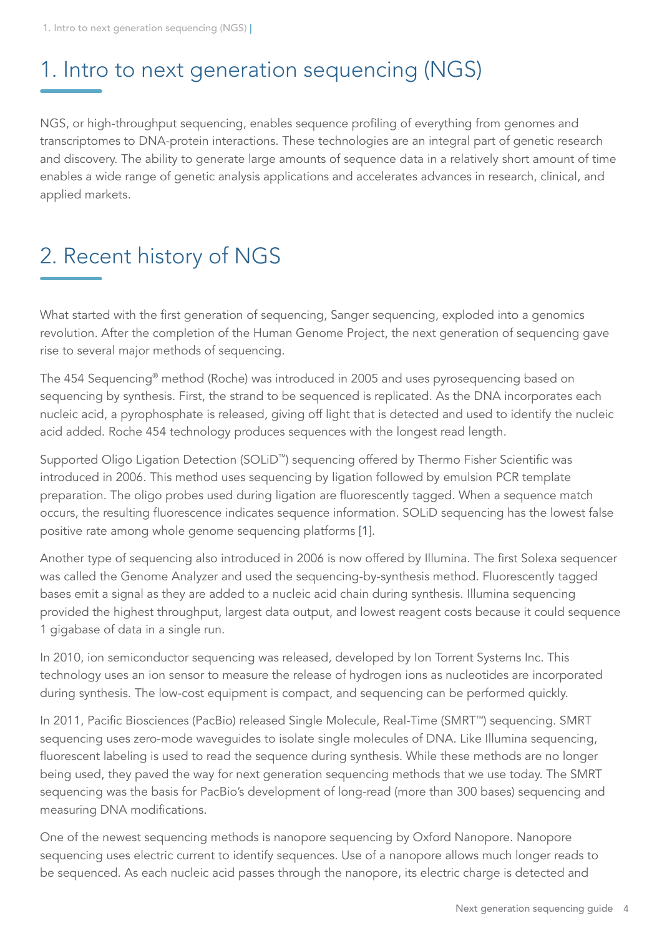## <span id="page-3-0"></span>1. Intro to next generation sequencing (NGS)

NGS, or high-throughput sequencing, enables sequence profiling of everything from genomes and transcriptomes to DNA-protein interactions. These technologies are an integral part of genetic research and discovery. The ability to generate large amounts of sequence data in a relatively short amount of time enables a wide range of genetic analysis applications and accelerates advances in research, clinical, and applied markets.

# 2. Recent history of NGS

What started with the first generation of sequencing, Sanger sequencing, exploded into a genomics revolution. After the completion of the Human Genome Project, the next generation of sequencing gave rise to several major methods of sequencing.

The 454 Sequencing® method (Roche) was introduced in 2005 and uses pyrosequencing based on sequencing by synthesis. First, the strand to be sequenced is replicated. As the DNA incorporates each nucleic acid, a pyrophosphate is released, giving off light that is detected and used to identify the nucleic acid added. Roche 454 technology produces sequences with the longest read length.

Supported Oligo Ligation Detection (SOLiD™) sequencing offered by Thermo Fisher Scientific was introduced in 2006. This method uses sequencing by ligation followed by emulsion PCR template preparation. The oligo probes used during ligation are fluorescently tagged. When a sequence match occurs, the resulting fluorescence indicates sequence information. SOLiD sequencing has the lowest false positive rate among whole genome sequencing platforms [[1](#page-10-1)].

Another type of sequencing also introduced in 2006 is now offered by Illumina. The first Solexa sequencer was called the Genome Analyzer and used the sequencing-by-synthesis method. Fluorescently tagged bases emit a signal as they are added to a nucleic acid chain during synthesis. Illumina sequencing provided the highest throughput, largest data output, and lowest reagent costs because it could sequence 1 gigabase of data in a single run.

In 2010, ion semiconductor sequencing was released, developed by Ion Torrent Systems Inc. This technology uses an ion sensor to measure the release of hydrogen ions as nucleotides are incorporated during synthesis. The low-cost equipment is compact, and sequencing can be performed quickly.

In 2011, Pacific Biosciences (PacBio) released Single Molecule, Real-Time (SMRT™) sequencing. SMRT sequencing uses zero-mode waveguides to isolate single molecules of DNA. Like Illumina sequencing, fluorescent labeling is used to read the sequence during synthesis. While these methods are no longer being used, they paved the way for next generation sequencing methods that we use today. The SMRT sequencing was the basis for PacBio's development of long-read (more than 300 bases) sequencing and measuring DNA modifications.

One of the newest sequencing methods is nanopore sequencing by Oxford Nanopore. Nanopore sequencing uses electric current to identify sequences. Use of a nanopore allows much longer reads to be sequenced. As each nucleic acid passes through the nanopore, its electric charge is detected and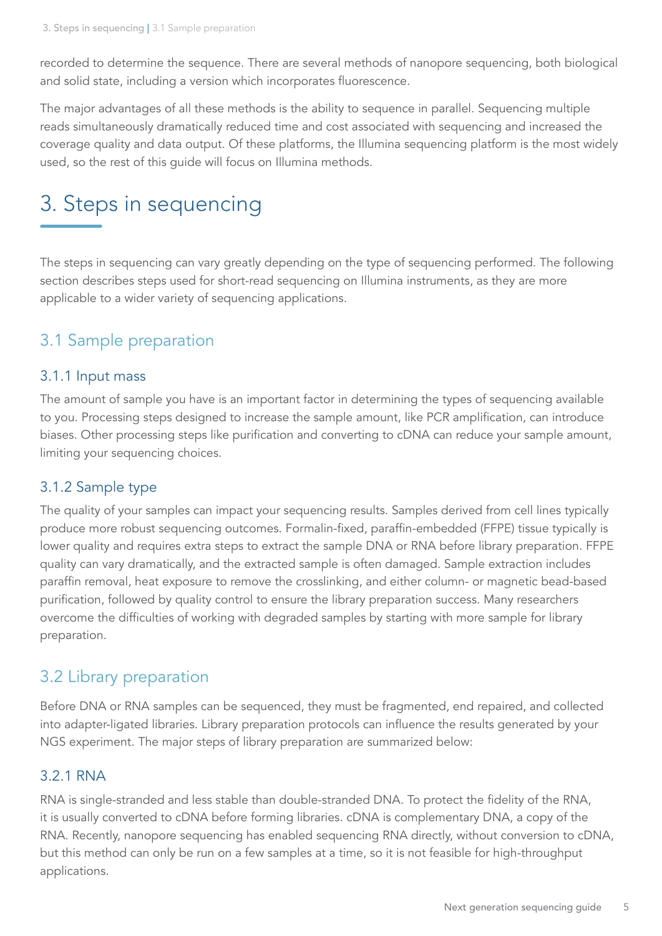<span id="page-4-0"></span>recorded to determine the sequence. There are several methods of nanopore sequencing, both biological and solid state, including a version which incorporates fluorescence.

The major advantages of all these methods is the ability to sequence in parallel. Sequencing multiple reads simultaneously dramatically reduced time and cost associated with sequencing and increased the coverage quality and data output. Of these platforms, the Illumina sequencing platform is the most widely used, so the rest of this guide will focus on Illumina methods.

## 3. Steps in sequencing

The steps in sequencing can vary greatly depending on the type of sequencing performed. The following section describes steps used for short-read sequencing on Illumina instruments, as they are more applicable to a wider variety of sequencing applications.

### 3.1 Sample preparation

#### 3.1.1 Input mass

The amount of sample you have is an important factor in determining the types of sequencing available to you. Processing steps designed to increase the sample amount, like PCR amplification, can introduce biases. Other processing steps like purification and converting to cDNA can reduce your sample amount, limiting your sequencing choices.

#### 3.1.2 Sample type

The quality of your samples can impact your sequencing results. Samples derived from cell lines typically produce more robust sequencing outcomes. Formalin-fixed, paraffin-embedded (FFPE) tissue typically is lower quality and requires extra steps to extract the sample DNA or RNA before library preparation. FFPE quality can vary dramatically, and the extracted sample is often damaged. Sample extraction includes paraffin removal, heat exposure to remove the crosslinking, and either column- or magnetic bead-based purification, followed by quality control to ensure the library preparation success. Many researchers overcome the difficulties of working with degraded samples by starting with more sample for library preparation.

### 3.2 Library preparation

Before DNA or RNA samples can be sequenced, they must be fragmented, end repaired, and collected into adapter-ligated libraries. Library preparation protocols can influence the results generated by your NGS experiment. The major steps of library preparation are summarized below:

#### 3.2.1 RNA

RNA is single-stranded and less stable than double-stranded DNA. To protect the fidelity of the RNA, it is usually converted to cDNA before forming libraries. cDNA is complementary DNA, a copy of the RNA. Recently, nanopore sequencing has enabled sequencing RNA directly, without conversion to cDNA, but this method can only be run on a few samples at a time, so it is not feasible for high-throughput applications.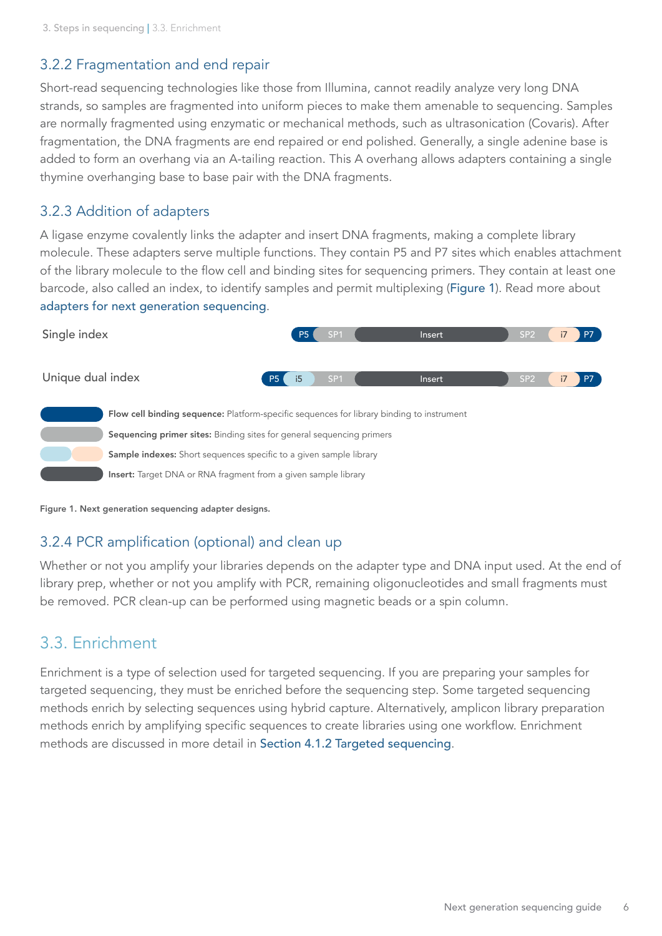#### <span id="page-5-0"></span>3.2.2 Fragmentation and end repair

Short-read sequencing technologies like those from Illumina, cannot readily analyze very long DNA strands, so samples are fragmented into uniform pieces to make them amenable to sequencing. Samples are normally fragmented using enzymatic or mechanical methods, such as ultrasonication (Covaris). After fragmentation, the DNA fragments are end repaired or end polished. Generally, a single adenine base is added to form an overhang via an A-tailing reaction. This A overhang allows adapters containing a single thymine overhanging base to base pair with the DNA fragments.

#### 3.2.3 Addition of adapters

A ligase enzyme covalently links the adapter and insert DNA fragments, making a complete library molecule. These adapters serve multiple functions. They contain P5 and P7 sites which enables attachment of the library molecule to the flow cell and binding sites for sequencing primers. They contain at least one barcode, also called an index, to identify samples and permit multiplexing ([Figure 1](#page-5-1)). Read more about [adapters for next generation sequencing](https://www.idtdna.com/pages/products/next-generation-sequencing/adapters).

<span id="page-5-1"></span>

Figure 1. Next generation sequencing adapter designs.

#### 3.2.4 PCR amplification (optional) and clean up

Whether or not you amplify your libraries depends on the adapter type and DNA input used. At the end of library prep, whether or not you amplify with PCR, remaining oligonucleotides and small fragments must be removed. PCR clean-up can be performed using magnetic beads or a spin column.

### 3.3. Enrichment

Enrichment is a type of selection used for targeted sequencing. If you are preparing your samples for targeted sequencing, they must be enriched before the sequencing step. Some targeted sequencing methods enrich by selecting sequences using hybrid capture. Alternatively, amplicon library preparation methods enrich by amplifying specific sequences to create libraries using one workflow. Enrichment methods are discussed in more detail in [Section 4.1.2 Targeted sequencing](#page-6-1).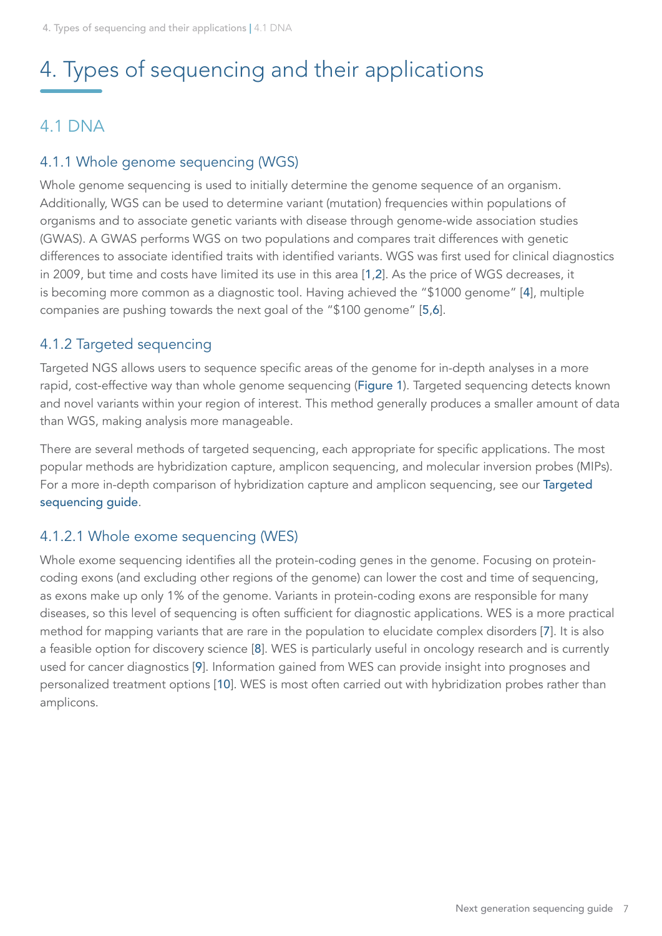# <span id="page-6-0"></span>4. Types of sequencing and their applications

### 4.1 DNA

### 4.1.1 Whole genome sequencing (WGS)

Whole genome sequencing is used to initially determine the genome sequence of an organism. Additionally, WGS can be used to determine variant (mutation) frequencies within populations of organisms and to associate genetic variants with disease through genome-wide association studies (GWAS). A GWAS performs WGS on two populations and compares trait differences with genetic differences to associate identified traits with identified variants. WGS was first used for clinical diagnostics in 2009, but time and costs have limited its use in this area [[1](#page-10-1),[2](#page-10-2)]. As the price of WGS decreases, it is becoming more common as a diagnostic tool. Having achieved the "\$1000 genome" [[4](#page-10-3)], multiple companies are pushing towards the next goal of the "\$100 genome" [[5](#page-10-4),[6](#page-10-5)].

#### <span id="page-6-1"></span>4.1.2 Targeted sequencing

Targeted NGS allows users to sequence specific areas of the genome for in-depth analyses in a more rapid, cost-effective way than whole genome sequencing ([Figure 1](#page-5-1)). Targeted sequencing detects known and novel variants within your region of interest. This method generally produces a smaller amount of data than WGS, making analysis more manageable.

There are several methods of targeted sequencing, each appropriate for specific applications. The most popular methods are hybridization capture, amplicon sequencing, and molecular inversion probes (MIPs). For a more in-depth comparison of hybridization capture and amplicon sequencing, see our [Targeted](https://sfvideo.blob.core.windows.net/sitefinity/docs/default-source/application-guide/idt-targeted-sequencing-guide.pdf?sfvrsn=ae151807_4)  [sequencing guide](https://sfvideo.blob.core.windows.net/sitefinity/docs/default-source/application-guide/idt-targeted-sequencing-guide.pdf?sfvrsn=ae151807_4).

#### 4.1.2.1 Whole exome sequencing (WES)

Whole exome sequencing identifies all the protein-coding genes in the genome. Focusing on proteincoding exons (and excluding other regions of the genome) can lower the cost and time of sequencing, as exons make up only 1% of the genome. Variants in protein-coding exons are responsible for many diseases, so this level of sequencing is often sufficient for diagnostic applications. WES is a more practical method for mapping variants that are rare in the population to elucidate complex disorders [[7](#page-10-6)]. It is also a feasible option for discovery science [[8](#page-10-7)]. WES is particularly useful in oncology research and is currently used for cancer diagnostics [[9](#page-10-8)]. Information gained from WES can provide insight into prognoses and personalized treatment options [[10](#page-10-9)]. WES is most often carried out with hybridization probes rather than amplicons.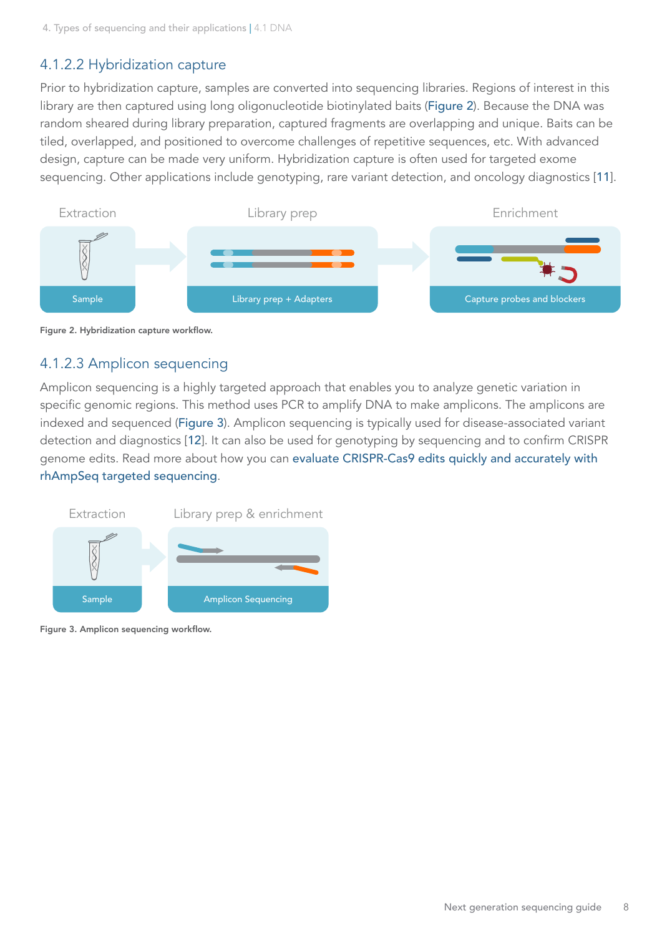### <span id="page-7-0"></span>4.1.2.2 Hybridization capture

Prior to hybridization capture, samples are converted into sequencing libraries. Regions of interest in this library are then captured using long oligonucleotide biotinylated baits ([Figure 2](#page-7-1)). Because the DNA was random sheared during library preparation, captured fragments are overlapping and unique. Baits can be tiled, overlapped, and positioned to overcome challenges of repetitive sequences, etc. With advanced design, capture can be made very uniform. Hybridization capture is often used for targeted exome sequencing. Other applications include genotyping, rare variant detection, and oncology diagnostics [[11](#page-10-10)].

<span id="page-7-1"></span>



#### 4.1.2.3 Amplicon sequencing

Amplicon sequencing is a highly targeted approach that enables you to analyze genetic variation in specific genomic regions. This method uses PCR to amplify DNA to make amplicons. The amplicons are indexed and sequenced ([Figure 3](#page-7-2)). Amplicon sequencing is typically used for disease-associated variant detection and diagnostics [[12](#page-10-11)]. It can also be used for genotyping by sequencing and to confirm CRISPR genome edits. Read more about how you can [evaluate CRISPR-Cas9 edits quickly and accurately with](https://go.idtdna.com/rhAmpSeqCRISPR.html)  [rhAmpSeq targeted sequencing](https://go.idtdna.com/rhAmpSeqCRISPR.html).

<span id="page-7-2"></span>

Figure 3. Amplicon sequencing workflow.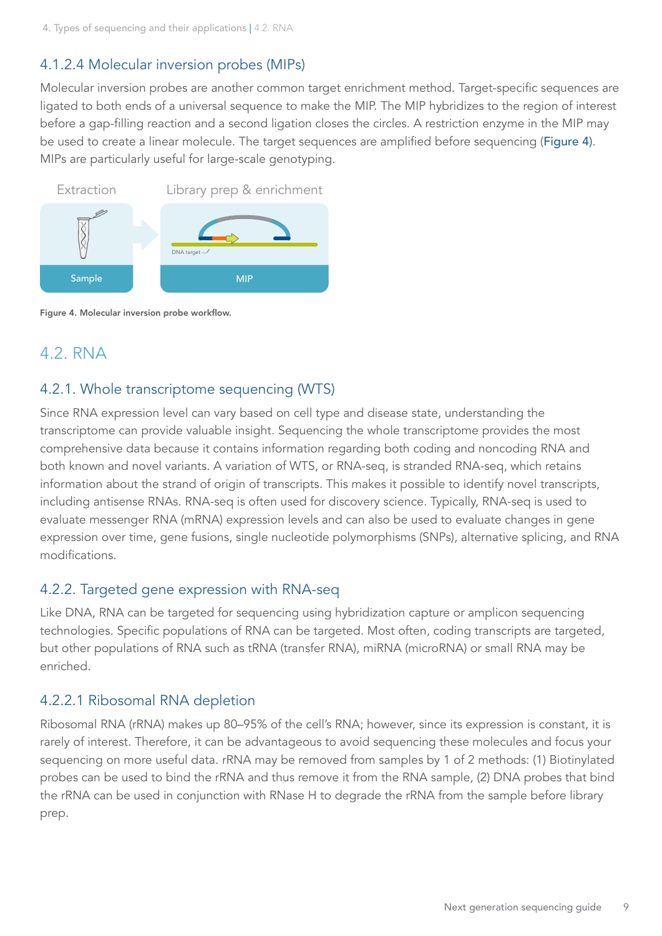#### <span id="page-8-0"></span>4.1.2.4 Molecular inversion probes (MIPs)

Molecular inversion probes are another common target enrichment method. Target-specific sequences are ligated to both ends of a universal sequence to make the MIP. The MIP hybridizes to the region of interest before a gap-filling reaction and a second ligation closes the circles. A restriction enzyme in the MIP may be used to create a linear molecule. The target sequences are amplified before sequencing ([Figure 4\)](#page-8-1). MIPs are particularly useful for large-scale genotyping.

<span id="page-8-1"></span>

Figure 4. Molecular inversion probe workflow.

### 4.2. RNA

#### 4.2.1. Whole transcriptome sequencing (WTS)

Since RNA expression level can vary based on cell type and disease state, understanding the transcriptome can provide valuable insight. Sequencing the whole transcriptome provides the most comprehensive data because it contains information regarding both coding and noncoding RNA and both known and novel variants. A variation of WTS, or RNA-seq, is stranded RNA-seq, which retains information about the strand of origin of transcripts. This makes it possible to identify novel transcripts, including antisense RNAs. RNA-seq is often used for discovery science. Typically, RNA-seq is used to evaluate messenger RNA (mRNA) expression levels and can also be used to evaluate changes in gene expression over time, gene fusions, single nucleotide polymorphisms (SNPs), alternative splicing, and RNA modifications.

#### 4.2.2. Targeted gene expression with RNA-seq

Like DNA, RNA can be targeted for sequencing using hybridization capture or amplicon sequencing technologies. Specific populations of RNA can be targeted. Most often, coding transcripts are targeted, but other populations of RNA such as tRNA (transfer RNA), miRNA (microRNA) or small RNA may be enriched.

#### 4.2.2.1 Ribosomal RNA depletion

Ribosomal RNA (rRNA) makes up 80–95% of the cell's RNA; however, since its expression is constant, it is rarely of interest. Therefore, it can be advantageous to avoid sequencing these molecules and focus your sequencing on more useful data. rRNA may be removed from samples by 1 of 2 methods: (1) Biotinylated probes can be used to bind the rRNA and thus remove it from the RNA sample, (2) DNA probes that bind the rRNA can be used in conjunction with RNase H to degrade the rRNA from the sample before library prep.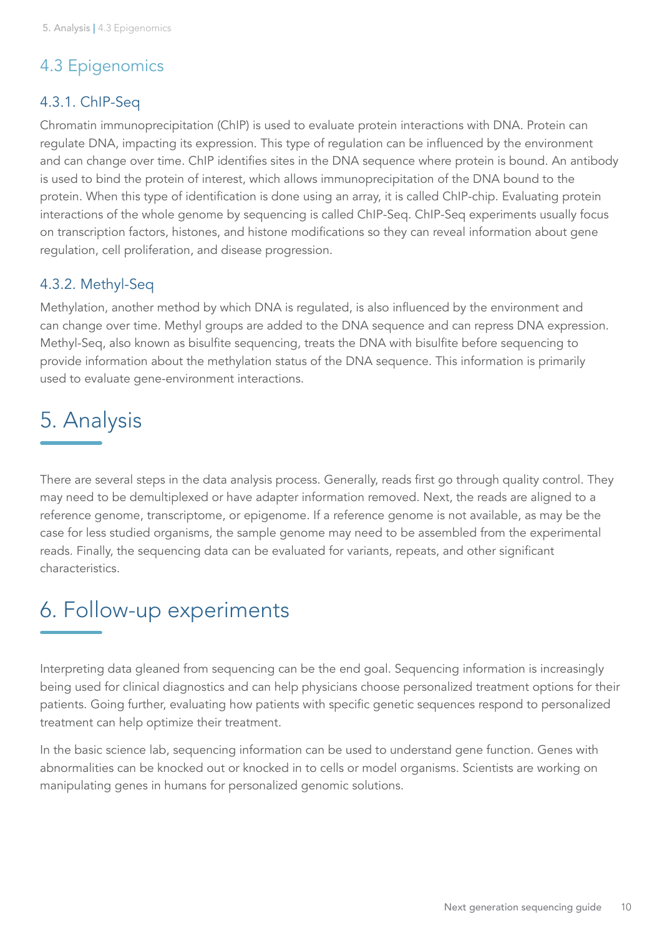### <span id="page-9-0"></span>4.3 Epigenomics

#### 4.3.1. ChIP-Seq

Chromatin immunoprecipitation (ChIP) is used to evaluate protein interactions with DNA. Protein can regulate DNA, impacting its expression. This type of regulation can be influenced by the environment and can change over time. ChIP identifies sites in the DNA sequence where protein is bound. An antibody is used to bind the protein of interest, which allows immunoprecipitation of the DNA bound to the protein. When this type of identification is done using an array, it is called ChIP-chip. Evaluating protein interactions of the whole genome by sequencing is called ChIP-Seq. ChIP-Seq experiments usually focus on transcription factors, histones, and histone modifications so they can reveal information about gene regulation, cell proliferation, and disease progression.

#### 4.3.2. Methyl-Seq

Methylation, another method by which DNA is regulated, is also influenced by the environment and can change over time. Methyl groups are added to the DNA sequence and can repress DNA expression. Methyl-Seq, also known as bisulfite sequencing, treats the DNA with bisulfite before sequencing to provide information about the methylation status of the DNA sequence. This information is primarily used to evaluate gene-environment interactions.

## 5. Analysis

There are several steps in the data analysis process. Generally, reads first go through quality control. They may need to be demultiplexed or have adapter information removed. Next, the reads are aligned to a reference genome, transcriptome, or epigenome. If a reference genome is not available, as may be the case for less studied organisms, the sample genome may need to be assembled from the experimental reads. Finally, the sequencing data can be evaluated for variants, repeats, and other significant characteristics.

## 6. Follow-up experiments

Interpreting data gleaned from sequencing can be the end goal. Sequencing information is increasingly being used for clinical diagnostics and can help physicians choose personalized treatment options for their patients. Going further, evaluating how patients with specific genetic sequences respond to personalized treatment can help optimize their treatment.

In the basic science lab, sequencing information can be used to understand gene function. Genes with abnormalities can be knocked out or knocked in to cells or model organisms. Scientists are working on manipulating genes in humans for personalized genomic solutions.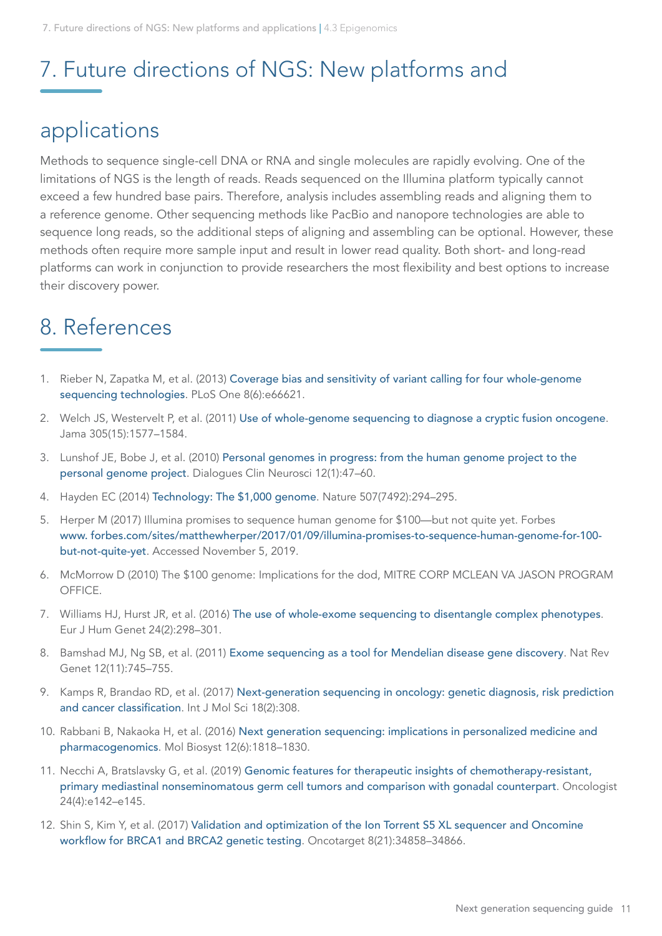## <span id="page-10-0"></span>7. Future directions of NGS: New platforms and

### applications

Methods to sequence single-cell DNA or RNA and single molecules are rapidly evolving. One of the limitations of NGS is the length of reads. Reads sequenced on the Illumina platform typically cannot exceed a few hundred base pairs. Therefore, analysis includes assembling reads and aligning them to a reference genome. Other sequencing methods like PacBio and nanopore technologies are able to sequence long reads, so the additional steps of aligning and assembling can be optional. However, these methods often require more sample input and result in lower read quality. Both short- and long-read platforms can work in conjunction to provide researchers the most flexibility and best options to increase their discovery power.

## 8. References

- <span id="page-10-1"></span>1. Rieber N, Zapatka M, et al. (2013) [Coverage bias and sensitivity of variant calling for four whole-genome](https://doi.org/10.1371/journal.pone.0066621)  [sequencing technologies](https://doi.org/10.1371/journal.pone.0066621). PLoS One 8(6):e66621.
- <span id="page-10-2"></span>2. Welch JS, Westervelt P, et al. (2011) [Use of whole-genome sequencing to diagnose a cryptic fusion oncogene](https://doi.org/10.1001/jama.2011.497). Jama 305(15):1577–1584.
- 3. Lunshof JE, Bobe J, et al. (2010) [Personal genomes in progress: from the human genome project to the](https://www.ncbi.nlm.nih.gov/pubmed/20373666)  [personal genome project](https://www.ncbi.nlm.nih.gov/pubmed/20373666). Dialogues Clin Neurosci 12(1):47–60.
- <span id="page-10-3"></span>4. Hayden EC (2014) [Technology: The \\$1,000 genome](https://doi.org/10.1038/507294a). Nature 507(7492):294–295.
- <span id="page-10-4"></span>5. Herper M (2017) Illumina promises to sequence human genome for \$100—but not quite yet. Forbes [www. forbes.com/sites/matthewherper/2017/01/09/illumina-promises-to-sequence-human-genome-for-100](https://www.forbes.com/sites/matthewherper/2017/01/09/illumina-promises-to-sequence-human-genome-for-100-but-not-quite-yet/#3e9f3f72386d) [but-not-quite-yet](https://www.forbes.com/sites/matthewherper/2017/01/09/illumina-promises-to-sequence-human-genome-for-100-but-not-quite-yet/#3e9f3f72386d). Accessed November 5, 2019.
- <span id="page-10-5"></span>6. McMorrow D (2010) The \$100 genome: Implications for the dod, MITRE CORP MCLEAN VA JASON PROGRAM OFFICE.
- <span id="page-10-6"></span>7. Williams HJ, Hurst JR, et al. (2016) [The use of whole-exome sequencing to disentangle complex phenotypes](https://doi.org/10.1038/ejhg.2015.121). Eur J Hum Genet 24(2):298–301.
- <span id="page-10-7"></span>8. Bamshad MJ, Ng SB, et al. (2011) [Exome sequencing as a tool for Mendelian disease gene discovery](https://doi.org/10.1038/nrg3031). Nat Rev Genet 12(11):745–755.
- <span id="page-10-8"></span>9. Kamps R, Brandao RD, et al. (2017) [Next-generation sequencing in oncology: genetic diagnosis, risk prediction](https://doi.org/10.3390/ijms18020308)  [and cancer classification](https://doi.org/10.3390/ijms18020308). Int J Mol Sci 18(2):308.
- <span id="page-10-9"></span>10. Rabbani B, Nakaoka H, et al. (2016) [Next generation sequencing: implications in personalized medicine and](https://doi.org/10.1039/c6mb00115g)  [pharmacogenomics](https://doi.org/10.1039/c6mb00115g). Mol Biosyst 12(6):1818–1830.
- <span id="page-10-10"></span>11. Necchi A, Bratslavsky G, et al. (2019) [Genomic features for therapeutic insights of chemotherapy-resistant,](https://doi.org/10.1634/theoncologist.2018-0430)  [primary mediastinal nonseminomatous germ cell tumors and comparison with gonadal counterpart](https://doi.org/10.1634/theoncologist.2018-0430). Oncologist 24(4):e142–e145.
- <span id="page-10-11"></span>12. Shin S, Kim Y, et al. (2017) [Validation and optimization of the Ion Torrent S5 XL sequencer and Oncomine](https://doi.org/10.18632/oncotarget.16799)  [workflow for BRCA1 and BRCA2 genetic testing](https://doi.org/10.18632/oncotarget.16799). Oncotarget 8(21):34858–34866.